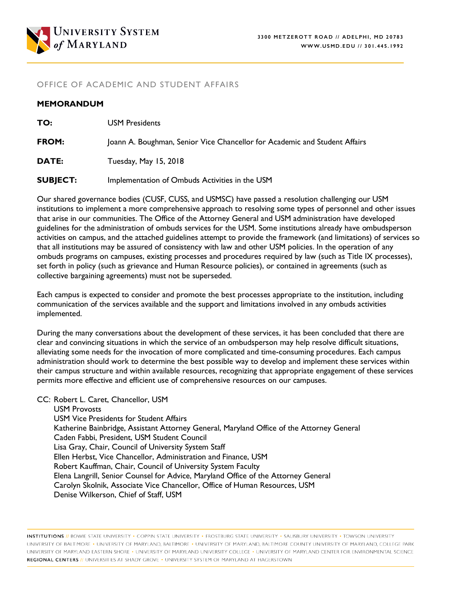

### OFFICE OF ACADEMIC AND STUDENT AFFAIRS

#### **MEMORANDUM**

| TO:             | <b>USM Presidents</b>                                                      |
|-----------------|----------------------------------------------------------------------------|
| FROM:           | Joann A. Boughman, Senior Vice Chancellor for Academic and Student Affairs |
| DATE:           | Tuesday, May 15, 2018                                                      |
| <b>SUBJECT:</b> | Implementation of Ombuds Activities in the USM                             |

Our shared governance bodies (CUSF, CUSS, and USMSC) have passed a resolution challenging our USM institutions to implement a more comprehensive approach to resolving some types of personnel and other issues that arise in our communities. The Office of the Attorney General and USM administration have developed guidelines for the administration of ombuds services for the USM. Some institutions already have ombudsperson activities on campus, and the attached guidelines attempt to provide the framework (and limitations) of services so that all institutions may be assured of consistency with law and other USM policies. In the operation of any ombuds programs on campuses, existing processes and procedures required by law (such as Title IX processes), set forth in policy (such as grievance and Human Resource policies), or contained in agreements (such as collective bargaining agreements) must not be superseded.

Each campus is expected to consider and promote the best processes appropriate to the institution, including communication of the services available and the support and limitations involved in any ombuds activities implemented.

During the many conversations about the development of these services, it has been concluded that there are clear and convincing situations in which the service of an ombudsperson may help resolve difficult situations, alleviating some needs for the invocation of more complicated and time-consuming procedures. Each campus administration should work to determine the best possible way to develop and implement these services within their campus structure and within available resources, recognizing that appropriate engagement of these services permits more effective and efficient use of comprehensive resources on our campuses.

CC: Robert L. Caret, Chancellor, USM

USM Provosts USM Vice Presidents for Student Affairs Katherine Bainbridge, Assistant Attorney General, Maryland Office of the Attorney General Caden Fabbi, President, USM Student Council Lisa Gray, Chair, Council of University System Staff Ellen Herbst, Vice Chancellor, Administration and Finance, USM Robert Kauffman, Chair, Council of University System Faculty Elena Langrill, Senior Counsel for Advice, Maryland Office of the Attorney General Carolyn Skolnik, Associate Vice Chancellor, Office of Human Resources, USM Denise Wilkerson, Chief of Staff, USM

INSTITUTIONS // BOWIE STATE UNIVERSITY · COPPIN STATE UNIVERSITY · FROSTBURG STATE UNIVERSITY · SALISBURY UNIVERSITY · TOWSON UNIVERSITY UNIVERSITY OF BALTIMORE . UNIVERSITY OF MARYLAND, BALTIMORE . UNIVERSITY OF MARYLAND, BALTIMORE COUNTY UNIVERSITY OF MARYLAND, COLLEGE PARK UNIVERSITY OF MARYLAND EASTERN SHORE . UNIVERSITY OF MARYLAND UNIVERSITY COLLEGE . UNIVERSITY OF MARYLAND CENTER FOR ENVIRONMENTAL SCIENCE REGIONAL CENTERS // UNIVERSITIES AT SHADY GROVE . UNIVERSITY SYSTEM OF MARYLAND AT HAGERSTOWN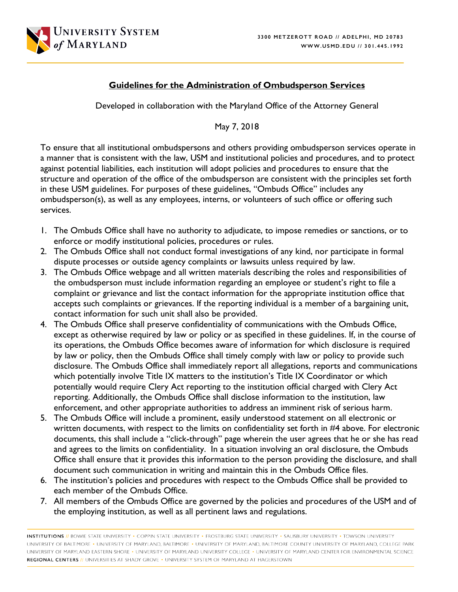

## **Guidelines for the Administration of Ombudsperson Services**

Developed in collaboration with the Maryland Office of the Attorney General

May 7, 2018

To ensure that all institutional ombudspersons and others providing ombudsperson services operate in a manner that is consistent with the law, USM and institutional policies and procedures, and to protect against potential liabilities, each institution will adopt policies and procedures to ensure that the structure and operation of the office of the ombudsperson are consistent with the principles set forth in these USM guidelines. For purposes of these guidelines, "Ombuds Office" includes any ombudsperson(s), as well as any employees, interns, or volunteers of such office or offering such services.

- 1. The Ombuds Office shall have no authority to adjudicate, to impose remedies or sanctions, or to enforce or modify institutional policies, procedures or rules.
- 2. The Ombuds Office shall not conduct formal investigations of any kind, nor participate in formal dispute processes or outside agency complaints or lawsuits unless required by law.
- 3. The Ombuds Office webpage and all written materials describing the roles and responsibilities of the ombudsperson must include information regarding an employee or student's right to file a complaint or grievance and list the contact information for the appropriate institution office that accepts such complaints or grievances. If the reporting individual is a member of a bargaining unit, contact information for such unit shall also be provided.
- 4. The Ombuds Office shall preserve confidentiality of communications with the Ombuds Office, except as otherwise required by law or policy or as specified in these guidelines. If, in the course of its operations, the Ombuds Office becomes aware of information for which disclosure is required by law or policy, then the Ombuds Office shall timely comply with law or policy to provide such disclosure. The Ombuds Office shall immediately report all allegations, reports and communications which potentially involve Title IX matters to the institution's Title IX Coordinator or which potentially would require Clery Act reporting to the institution official charged with Clery Act reporting. Additionally, the Ombuds Office shall disclose information to the institution, law enforcement, and other appropriate authorities to address an imminent risk of serious harm.
- 5. The Ombuds Office will include a prominent, easily understood statement on all electronic or written documents, with respect to the limits on confidentiality set forth in #4 above. For electronic documents, this shall include a "click-through" page wherein the user agrees that he or she has read and agrees to the limits on confidentiality. In a situation involving an oral disclosure, the Ombuds Office shall ensure that it provides this information to the person providing the disclosure, and shall document such communication in writing and maintain this in the Ombuds Office files.
- 6. The institution's policies and procedures with respect to the Ombuds Office shall be provided to each member of the Ombuds Office.
- 7. All members of the Ombuds Office are governed by the policies and procedures of the USM and of the employing institution, as well as all pertinent laws and regulations.

INSTITUTIONS // BOWIE STATE UNIVERSITY · COPPIN STATE UNIVERSITY · FROSTBURG STATE UNIVERSITY · SALISBURY UNIVERSITY · TOWSON UNIVERSITY UNIVERSITY OF BALTIMORE . UNIVERSITY OF MARYLAND, BALTIMORE . UNIVERSITY OF MARYLAND, BALTIMORE COUNTY UNIVERSITY OF MARYLAND, COLLEGE PARK UNIVERSITY OF MARYLAND EASTERN SHORE . UNIVERSITY OF MARYLAND UNIVERSITY COLLEGE . UNIVERSITY OF MARYLAND CENTER FOR ENVIRONMENTAL SCIENCE REGIONAL CENTERS // UNIVERSITIES AT SHADY GROVE . UNIVERSITY SYSTEM OF MARYLAND AT HAGERSTOWN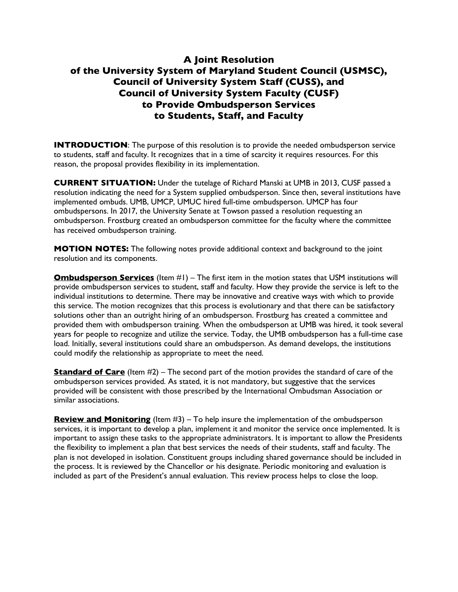# **A Joint Resolution of the University System of Maryland Student Council (USMSC), Council of University System Staff (CUSS), and Council of University System Faculty (CUSF) to Provide Ombudsperson Services to Students, Staff, and Faculty**

**INTRODUCTION:** The purpose of this resolution is to provide the needed ombudsperson service to students, staff and faculty. It recognizes that in a time of scarcity it requires resources. For this reason, the proposal provides flexibility in its implementation.

**CURRENT SITUATION:** Under the tutelage of Richard Manski at UMB in 2013, CUSF passed a resolution indicating the need for a System supplied ombudsperson. Since then, several institutions have implemented ombuds. UMB, UMCP, UMUC hired full-time ombudsperson. UMCP has four ombudspersons. In 2017, the University Senate at Towson passed a resolution requesting an ombudsperson. Frostburg created an ombudsperson committee for the faculty where the committee has received ombudsperson training.

**MOTION NOTES:** The following notes provide additional context and background to the joint resolution and its components.

**Ombudsperson Services** (Item #1) – The first item in the motion states that USM institutions will provide ombudsperson services to student, staff and faculty. How they provide the service is left to the individual institutions to determine. There may be innovative and creative ways with which to provide this service. The motion recognizes that this process is evolutionary and that there can be satisfactory solutions other than an outright hiring of an ombudsperson. Frostburg has created a committee and provided them with ombudsperson training. When the ombudsperson at UMB was hired, it took several years for people to recognize and utilize the service. Today, the UMB ombudsperson has a full-time case load. Initially, several institutions could share an ombudsperson. As demand develops, the institutions could modify the relationship as appropriate to meet the need.

**Standard of Care** (Item #2) – The second part of the motion provides the standard of care of the ombudsperson services provided. As stated, it is not mandatory, but suggestive that the services provided will be consistent with those prescribed by the International Ombudsman Association or similar associations.

**Review and Monitoring** (Item #3) – To help insure the implementation of the ombudsperson services, it is important to develop a plan, implement it and monitor the service once implemented. It is important to assign these tasks to the appropriate administrators. It is important to allow the Presidents the flexibility to implement a plan that best services the needs of their students, staff and faculty. The plan is not developed in isolation. Constituent groups including shared governance should be included in the process. It is reviewed by the Chancellor or his designate. Periodic monitoring and evaluation is included as part of the President's annual evaluation. This review process helps to close the loop.